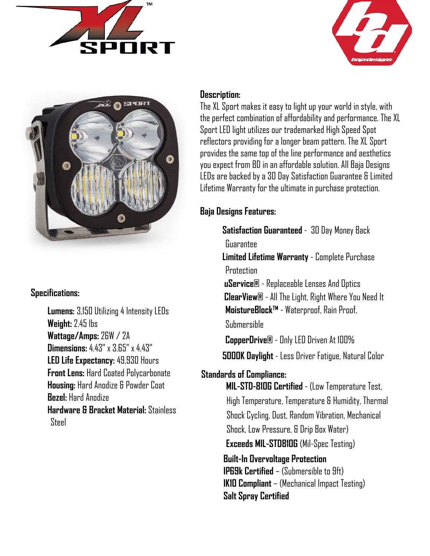





## **Specifications:**

 **Lumens:** 3,150 Utilizing 4 Intensity LEDs **Weight:** 2.45 lbs **Wattage/Amps:** 26W / 2A **Dimensions:** 4.43" x 3.65" x 4.43" **LED Life Expectancy:** 49,930 Hours **Front Lens:** Hard Coated Polycarbonate **Housing:** Hard Anodize & Powder Coat **Bezel:** Hard Anodize **Hardware & Bracket Material:** Stainless Steel

## **Description:**

The XL Sport makes it easy to light up your world in style, with the perfect combination of affordability and performance. The XL Sport LED light utilizes our trademarked High Speed Spot reflectors providing for a longer beam pattern. The XL Sport provides the same top of the line performance and aesthetics you expect from BD in an affordable solution. All Baja Designs LEDs are backed by a 30 Day Satisfaction Guarantee & Limited Lifetime Warranty for the ultimate in purchase protection.

# **Baja Designs Features:**

 **Satisfaction Guaranteed** - 30 Day Money Back Guarantee **Limited Lifetime Warranty** - Complete Purchase **Protection uService®** - Replaceable Lenses And Optics **ClearView®** - All The Light, Right Where You Need It **MoistureBlock™** - Waterproof, Rain Proof,

Submersible

 **CopperDrive®** - Only LED Driven At 100% **5000K Daylight** - Less Driver Fatigue, Natural Color

# **Standards of Compliance:**

**MIL-STD-810G Certified** - (Low Temperature Test, High Temperature, Temperature & Humidity, Thermal Shock Cycling, Dust, Random Vibration, Mechanical Shock, Low Pressure, & Drip Box Water) **Exceeds MIL-STD810G** (Mil-Spec Testing)

 **Built-In Overvoltage Protection IP69k Certified** – (Submersible to 9ft) **IK10 Compliant** – (Mechanical Impact Testing) **Salt Spray Certified**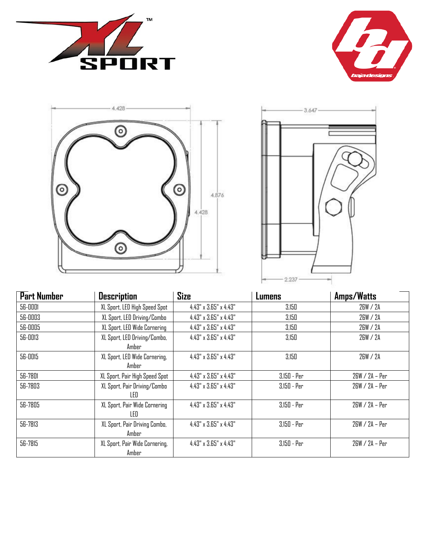







| <b>Part Number</b> | <b>Description</b>                      | Size                              | Lumens        | Amps/Watts       |
|--------------------|-----------------------------------------|-----------------------------------|---------------|------------------|
| 56-0001            | XL Sport, LED High Speed Spot           | 4.43" x 3.65" x 4.43"             | 3,150         | 26W / 2A         |
| 56-0003            | XL Sport, LED Driving/Combo             | 4.43" x 3.65" x 4.43"             | 3.150         | 26W / 2A         |
| 56-0005            | XL Sport, LED Wide Cornering            | 4.43" x 3.65" x 4.43"             | 3,150         | 26W / 2A         |
| 56-0013            | XL Sport, LED Driving/Combo,<br>Amber   | $4.43" \times 3.65" \times 4.43"$ | 3,150         | 26W / 2A         |
| 56-0015            | XL Sport, LED Wide Cornering,<br>Amber  | 4.43" x 3.65" x 4.43"             | 3,150         | 26W / 2A         |
| 56-7801            | XL Sport, Pair High Speed Spot          | $4.43" \times 3.65" \times 4.43"$ | 3,150 - Per   | 26W / 2A – Per   |
| 56-7803            | XL Sport, Pair Driving/Combo<br>LED     | 4.43" x 3.65" x 4.43"             | $3,150 - Per$ | 26W / 2A - Per   |
| 56-7805            | XL Sport, Pair Wide Cornering<br>I FD.  | $4.43" \times 3.65" \times 4.43"$ | $3.150 - Per$ | $26W / 2A - Per$ |
| 56-7813            | XL Sport, Pair Driving Combo,<br>Amber  | 4.43" x 3.65" x 4.43"             | $3,150 - Per$ | 26W / 2A - Per   |
| 56-7815            | XL Sport, Pair Wide Cornering,<br>Amber | 4.43" x 3.65" x 4.43"             | 3,150 - Per   | 26W / 2A - Per   |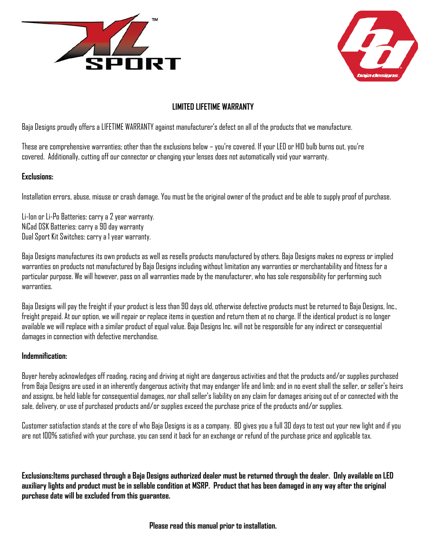



## **LIMITED LIFETIME WARRANTY**

Baja Designs proudly offers a LIFETIME WARRANTY against manufacturer's defect on all of the products that we manufacture.

These are comprehensive warranties; other than the exclusions below – you're covered. If your LED or HID bulb burns out, you're covered. Additionally, cutting off our connector or changing your lenses does not automatically void your warranty.

### **Exclusions:**

Installation errors, abuse, misuse or crash damage. You must be the original owner of the product and be able to supply proof of purchase.

Li-Ion or Li-Po Batteries: carry a 2 year warranty. NiCad DSK Batteries: carry a 90 day warranty Dual Sport Kit Switches: carry a 1 year warranty.

Baja Designs manufactures its own products as well as resells products manufactured by others. Baja Designs makes no express or implied warranties on products not manufactured by Baja Designs including without limitation any warranties or merchantability and fitness for a particular purpose. We will however, pass on all warranties made by the manufacturer, who has sole responsibility for performing such warranties.

Baja Designs will pay the freight if your product is less than 90 days old, otherwise defective products must be returned to Baja Designs, Inc., freight prepaid. At our option, we will repair or replace items in question and return them at no charge. If the identical product is no longer available we will replace with a similar product of equal value. Baja Designs Inc. will not be responsible for any indirect or consequential damages in connection with defective merchandise.

### **Indemnification:**

Buyer hereby acknowledges off roading, racing and driving at night are dangerous activities and that the products and/or supplies purchased from Baja Designs are used in an inherently dangerous activity that may endanger life and limb; and in no event shall the seller, or seller's heirs and assigns, be held liable for consequential damages, nor shall seller's liability on any claim for damages arising out of or connected with the sale, delivery, or use of purchased products and/or supplies exceed the purchase price of the products and/or supplies.

Customer satisfaction stands at the core of who Baja Designs is as a company. BD gives you a full 30 days to test out your new light and if you are not 100% satisfied with your purchase, you can send it back for an exchange or refund of the purchase price and applicable tax.

**Exclusions:Items purchased through a Baja Designs authorized dealer must be returned through the dealer. Only available on LED auxiliary lights and product must be in sellable condition at MSRP. Product that has been damaged in any way after the original purchase date will be excluded from this guarantee.** 

**Please read this manual prior to installation.**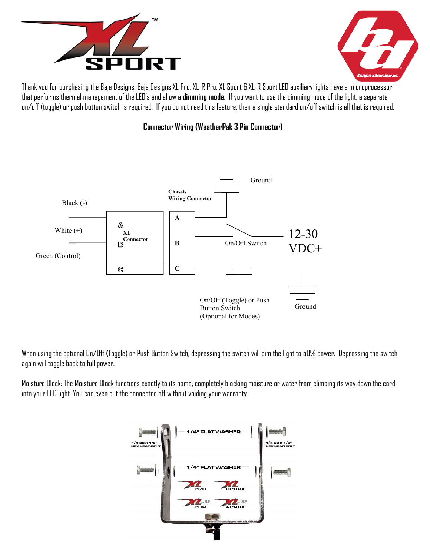



Thank you for purchasing the Baja Designs. Baja Designs XL Pro, XL-R Pro, XL Sport & XL-R Sport LED auxiliary lights have a microprocessor that performs thermal management of the LED's and allow a **dimming mode**. If you want to use the dimming mode of the light, a separate on/off (toggle) or push button switch is required. If you do not need this feature, then a single standard on/off switch is all that is required.





When using the optional On/Off (Toggle) or Push Button Switch, depressing the switch will dim the light to 50% power. Depressing the switch again will toggle back to full power.

Moisture Block: The Moisture Block functions exactly to its name, completely blocking moisture or water from climbing its way down the cord into your LED light. You can even cut the connector off without voiding your warranty.